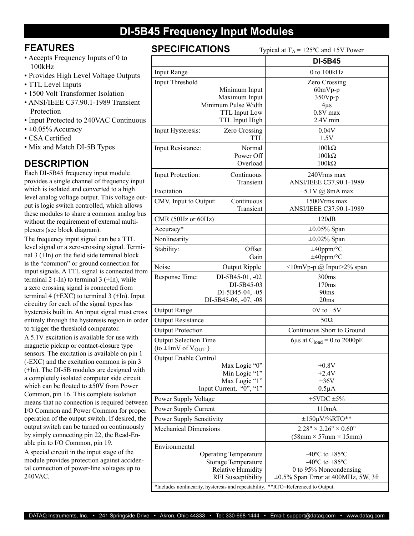## **DI-5B45 Frequency Input Modules**

## **FEATURES**

- Accepts Frequency Inputs of 0 to 100kHz
- Provides High Level Voltage Outputs
- TTL Level Inputs
- 1500 Volt Transformer Isolation
- ANSI/IEEE C37.90.1-1989 Transient Protection
- Input Protected to 240VAC Continuous
- $\cdot \pm 0.05\%$  Accuracy
- CSA Certified
- Mix and Match DI-5B Types

## **DESCRIPTION**

Each DI-5B45 frequency input module provides a single channel of frequency input which is isolated and converted to a high level analog voltage output. This voltage output is logic switch controlled, which allows these modules to share a common analog bus without the requirement of external multiplexers (see block diagram).

The frequency input signal can be a TTL level signal or a zero-crossing signal. Terminal 3 (+In) on the field side terminal block is the "common" or ground connection for input signals. A TTL signal is connected from terminal  $2$  (-In) to terminal  $3$  (+In), while a zero crossing signal is connected from terminal 4 ( $+EXC$ ) to terminal 3 ( $+In$ ). Input circuitry for each of the signal types has hysteresis built in. An input signal must cross entirely through the hysteresis region in order to trigger the threshold comparator.

A 5.1V excitation is available for use with magnetic pickup or contact-closure type sensors. The excitation is available on pin 1 (-EXC) and the excitation common is pin 3 (+In). The DI-5B modules are designed with a completely isolated computer side circuit which can be floated to ±50V from Power Common, pin 16. This complete isolation means that no connection is required between I/O Common and Power Common for proper operation of the output switch. If desired, the output switch can be turned on continuously by simply connecting pin 22, the Read-Enable pin to I/O Common, pin 19.

A special circuit in the input stage of the module provides protection against accidental connection of power-line voltages up to 240VAC.

**SPECIFICATIONS** Typical at  $T_A = +25^\circ C$  and  $+5V$  Power

|                                                                                      | <b>DI-5B45</b>                                                        |  |  |
|--------------------------------------------------------------------------------------|-----------------------------------------------------------------------|--|--|
| <b>Input Range</b>                                                                   | 0 to 100kHz                                                           |  |  |
| <b>Input Threshold</b>                                                               | <b>Zero Crossing</b>                                                  |  |  |
| Minimum Input                                                                        | $60mVp-p$                                                             |  |  |
| Maximum Input                                                                        | $350Vp-p$                                                             |  |  |
| Minimum Pulse Width                                                                  | $4\mu s$                                                              |  |  |
| <b>TTL</b> Input Low<br>TTL Input High                                               | $0.8V$ max<br>$2.4V$ min                                              |  |  |
|                                                                                      |                                                                       |  |  |
| Input Hysteresis:<br><b>Zero Crossing</b><br>TTL.                                    | 0.04V<br>1.5V                                                         |  |  |
| Normal<br>Input Resistance:                                                          | $100k\Omega$                                                          |  |  |
| Power Off                                                                            | $100k\Omega$                                                          |  |  |
| Overload                                                                             | $100k\Omega$                                                          |  |  |
| Continuous<br>Input Protection:                                                      | 240Vrms max                                                           |  |  |
| Transient<br>Excitation                                                              | ANSI/IEEE C37.90.1-1989<br>$+5.1V$ (a) 8mA max                        |  |  |
| Continuous<br>CMV, Input to Output:                                                  | 1500Vrms max                                                          |  |  |
| Transient                                                                            | ANSI/IEEE C37.90.1-1989                                               |  |  |
| CMR (50Hz or 60Hz)                                                                   | 120dB                                                                 |  |  |
| Accuracy*                                                                            | $\pm 0.05\%$ Span                                                     |  |  |
| Nonlinearity                                                                         | $\pm 0.02\%$ Span                                                     |  |  |
| Stability:<br>Offset                                                                 | $\pm 40$ ppm/°C                                                       |  |  |
| Gain                                                                                 | $\pm 40$ ppm/°C                                                       |  |  |
| Noise<br>Output Ripple                                                               | $\leq 10$ mVp-p @ Input>2% span                                       |  |  |
| Response Time:<br>DI-5B45-01, -02                                                    | 300ms                                                                 |  |  |
| DI-5B45-03                                                                           | 170ms                                                                 |  |  |
| DI-5B45-04, -05                                                                      | 90ms                                                                  |  |  |
| DI-5B45-06, -07, -08                                                                 | 20ms                                                                  |  |  |
| <b>Output Range</b>                                                                  | $0V$ to $+5V$                                                         |  |  |
| <b>Output Resistance</b>                                                             | $50\Omega$                                                            |  |  |
| <b>Output Protection</b>                                                             | Continuous Short to Ground                                            |  |  |
| <b>Output Selection Time</b><br>(to $\pm 1$ mV of V <sub>OUT</sub> )                 | 6us at $C_{load} = 0$ to 2000pF                                       |  |  |
| <b>Output Enable Control</b>                                                         |                                                                       |  |  |
| Max Logic "0"                                                                        | $+0.8V$                                                               |  |  |
| Min Logic "1"                                                                        | $+2.4V$                                                               |  |  |
| Max Logic "1"                                                                        | $+36V$                                                                |  |  |
| Input Current, "0", "1"                                                              | $0.5\mu A$<br>+5VDC $\pm$ 5%                                          |  |  |
| Power Supply Voltage                                                                 | 110mA                                                                 |  |  |
| Power Supply Current                                                                 |                                                                       |  |  |
| <b>Power Supply Sensitivity</b>                                                      | $\pm 150 \mu V$ %RTO**                                                |  |  |
| <b>Mechanical Dimensions</b>                                                         | $2.28" \times 2.26" \times 0.60"$<br>$(58mm \times 57mm \times 15mm)$ |  |  |
| Environmental                                                                        |                                                                       |  |  |
| <b>Operating Temperature</b>                                                         | $-40^{\circ}$ C to $+85^{\circ}$ C                                    |  |  |
| <b>Storage Temperature</b>                                                           | -40 $^{\circ}$ C to +85 $^{\circ}$ C                                  |  |  |
| Relative Humidity                                                                    | 0 to 95% Noncondensing                                                |  |  |
| <b>RFI</b> Susceptibility                                                            | $\pm 0.5\%$ Span Error at 400MHz, 5W, 3ft                             |  |  |
| *Includes nonlinearity, hysteresis and repeatability.<br>**RTO=Referenced to Output. |                                                                       |  |  |